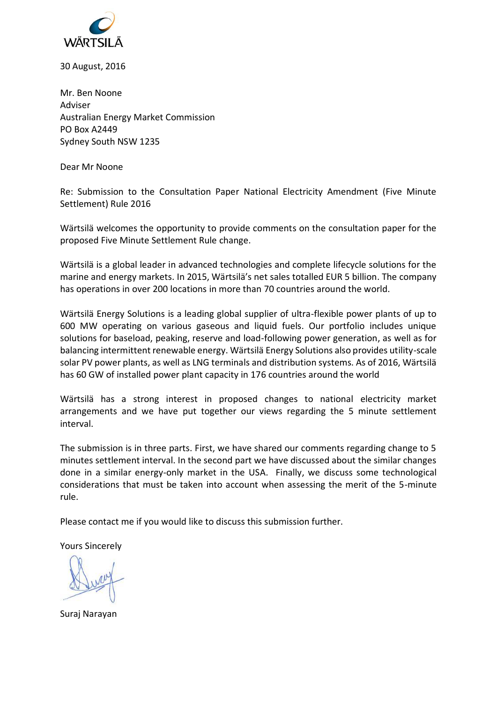

30 August, 2016

Mr. Ben Noone Adviser Australian Energy Market Commission PO Box A2449 Sydney South NSW 1235

Dear Mr Noone

Re: Submission to the Consultation Paper National Electricity Amendment (Five Minute Settlement) Rule 2016

Wärtsilä welcomes the opportunity to provide comments on the consultation paper for the proposed Five Minute Settlement Rule change.

Wärtsilä is a global leader in advanced technologies and complete lifecycle solutions for the marine and energy markets. In 2015, Wärtsilä's net sales totalled EUR 5 billion. The company has operations in over 200 locations in more than 70 countries around the world.

Wärtsilä Energy Solutions is a leading global supplier of ultra-flexible power plants of up to 600 MW operating on various gaseous and liquid fuels. Our portfolio includes unique solutions for baseload, peaking, reserve and load-following power generation, as well as for balancing intermittent renewable energy. Wärtsilä Energy Solutions also provides utility-scale solar PV power plants, as well as LNG terminals and distribution systems. As of 2016, Wärtsilä has 60 GW of installed power plant capacity in 176 countries around the world

Wärtsilä has a strong interest in proposed changes to national electricity market arrangements and we have put together our views regarding the 5 minute settlement interval.

The submission is in three parts. First, we have shared our comments regarding change to 5 minutes settlement interval. In the second part we have discussed about the similar changes done in a similar energy-only market in the USA. Finally, we discuss some technological considerations that must be taken into account when assessing the merit of the 5-minute rule.

Please contact me if you would like to discuss this submission further.

Yours Sincerely

Suraj Narayan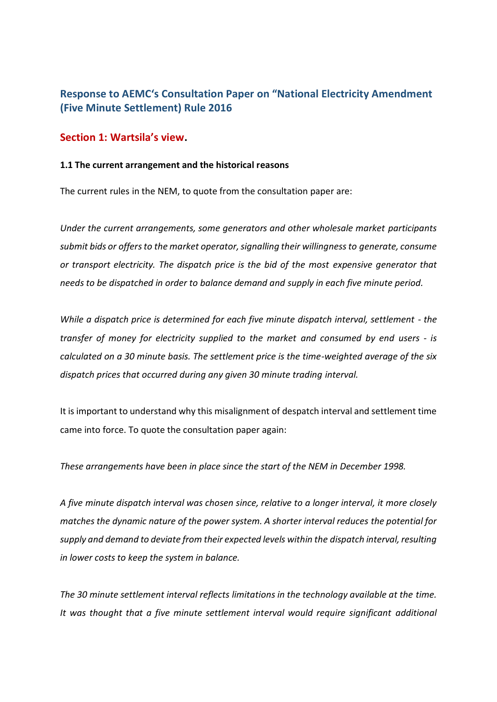# **Response to AEMC's Consultation Paper on "National Electricity Amendment (Five Minute Settlement) Rule 2016**

## **Section 1: Wartsila's view.**

### **1.1 The current arrangement and the historical reasons**

The current rules in the NEM, to quote from the consultation paper are:

*Under the current arrangements, some generators and other wholesale market participants submit bids or offers to the market operator, signalling their willingness to generate, consume or transport electricity. The dispatch price is the bid of the most expensive generator that needs to be dispatched in order to balance demand and supply in each five minute period.*

*While a dispatch price is determined for each five minute dispatch interval, settlement - the transfer of money for electricity supplied to the market and consumed by end users - is calculated on a 30 minute basis. The settlement price is the time-weighted average of the six dispatch prices that occurred during any given 30 minute trading interval.*

It is important to understand why this misalignment of despatch interval and settlement time came into force. To quote the consultation paper again:

*These arrangements have been in place since the start of the NEM in December 1998.*

*A five minute dispatch interval was chosen since, relative to a longer interval, it more closely matches the dynamic nature of the power system. A shorter interval reduces the potential for supply and demand to deviate from their expected levels within the dispatch interval, resulting in lower costs to keep the system in balance.*

*The 30 minute settlement interval reflects limitations in the technology available at the time. It was thought that a five minute settlement interval would require significant additional*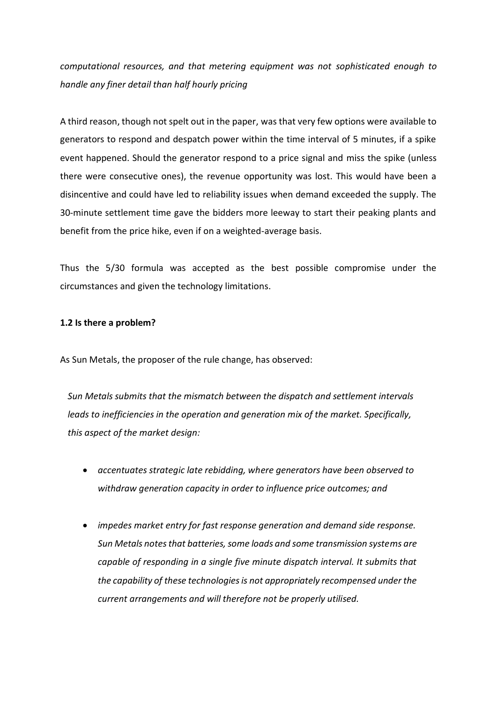*computational resources, and that metering equipment was not sophisticated enough to handle any finer detail than half hourly pricing*

A third reason, though not spelt out in the paper, was that very few options were available to generators to respond and despatch power within the time interval of 5 minutes, if a spike event happened. Should the generator respond to a price signal and miss the spike (unless there were consecutive ones), the revenue opportunity was lost. This would have been a disincentive and could have led to reliability issues when demand exceeded the supply. The 30-minute settlement time gave the bidders more leeway to start their peaking plants and benefit from the price hike, even if on a weighted-average basis.

Thus the 5/30 formula was accepted as the best possible compromise under the circumstances and given the technology limitations.

#### **1.2 Is there a problem?**

As Sun Metals, the proposer of the rule change, has observed:

*Sun Metals submits that the mismatch between the dispatch and settlement intervals leads to inefficiencies in the operation and generation mix of the market. Specifically, this aspect of the market design:*

- *accentuates strategic late rebidding, where generators have been observed to withdraw generation capacity in order to influence price outcomes; and*
- *impedes market entry for fast response generation and demand side response. Sun Metals notes that batteries, some loads and some transmission systems are capable of responding in a single five minute dispatch interval. It submits that the capability of these technologies is not appropriately recompensed under the current arrangements and will therefore not be properly utilised.*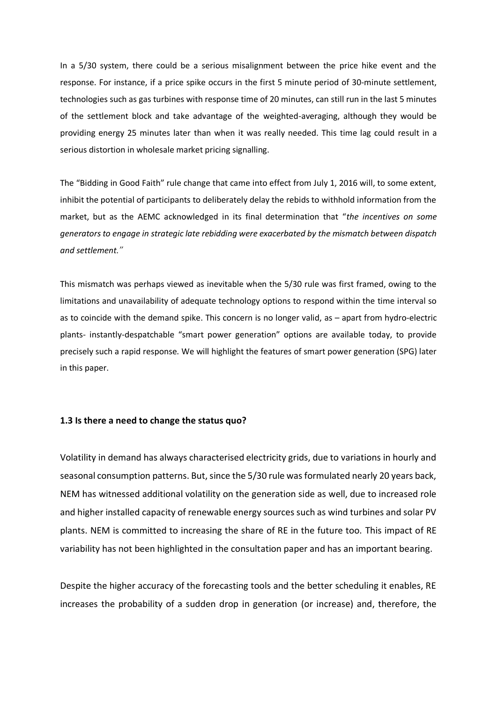In a 5/30 system, there could be a serious misalignment between the price hike event and the response. For instance, if a price spike occurs in the first 5 minute period of 30-minute settlement, technologies such as gas turbines with response time of 20 minutes, can still run in the last 5 minutes of the settlement block and take advantage of the weighted-averaging, although they would be providing energy 25 minutes later than when it was really needed. This time lag could result in a serious distortion in wholesale market pricing signalling.

The "Bidding in Good Faith" rule change that came into effect from July 1, 2016 will, to some extent, inhibit the potential of participants to deliberately delay the rebids to withhold information from the market, but as the AEMC acknowledged in its final determination that "*the incentives on some generators to engage in strategic late rebidding were exacerbated by the mismatch between dispatch and settlement."*

This mismatch was perhaps viewed as inevitable when the 5/30 rule was first framed, owing to the limitations and unavailability of adequate technology options to respond within the time interval so as to coincide with the demand spike. This concern is no longer valid, as – apart from hydro-electric plants- instantly-despatchable "smart power generation" options are available today, to provide precisely such a rapid response. We will highlight the features of smart power generation (SPG) later in this paper.

#### **1.3 Is there a need to change the status quo?**

Volatility in demand has always characterised electricity grids, due to variations in hourly and seasonal consumption patterns. But, since the 5/30 rule was formulated nearly 20 years back, NEM has witnessed additional volatility on the generation side as well, due to increased role and higher installed capacity of renewable energy sources such as wind turbines and solar PV plants. NEM is committed to increasing the share of RE in the future too. This impact of RE variability has not been highlighted in the consultation paper and has an important bearing.

Despite the higher accuracy of the forecasting tools and the better scheduling it enables, RE increases the probability of a sudden drop in generation (or increase) and, therefore, the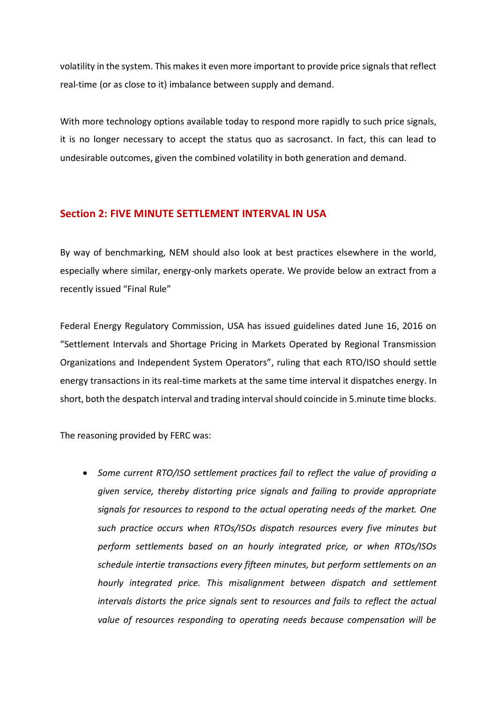volatility in the system. This makes it even more important to provide price signals that reflect real-time (or as close to it) imbalance between supply and demand.

With more technology options available today to respond more rapidly to such price signals, it is no longer necessary to accept the status quo as sacrosanct. In fact, this can lead to undesirable outcomes, given the combined volatility in both generation and demand.

### **Section 2: FIVE MINUTE SETTLEMENT INTERVAL IN USA**

By way of benchmarking, NEM should also look at best practices elsewhere in the world, especially where similar, energy-only markets operate. We provide below an extract from a recently issued "Final Rule"

Federal Energy Regulatory Commission, USA has issued guidelines dated June 16, 2016 on "Settlement Intervals and Shortage Pricing in Markets Operated by Regional Transmission Organizations and Independent System Operators", ruling that each RTO/ISO should settle energy transactions in its real-time markets at the same time interval it dispatches energy. In short, both the despatch interval and trading interval should coincide in 5.minute time blocks.

The reasoning provided by FERC was:

 *Some current RTO/ISO settlement practices fail to reflect the value of providing a given service, thereby distorting price signals and failing to provide appropriate signals for resources to respond to the actual operating needs of the market. One such practice occurs when RTOs/ISOs dispatch resources every five minutes but perform settlements based on an hourly integrated price, or when RTOs/ISOs schedule intertie transactions every fifteen minutes, but perform settlements on an hourly integrated price. This misalignment between dispatch and settlement intervals distorts the price signals sent to resources and fails to reflect the actual value of resources responding to operating needs because compensation will be*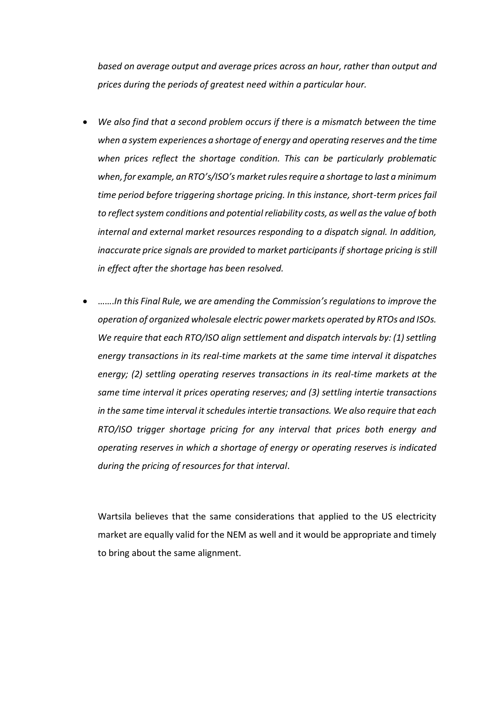*based on average output and average prices across an hour, rather than output and prices during the periods of greatest need within a particular hour.*

- *We also find that a second problem occurs if there is a mismatch between the time when a system experiences a shortage of energy and operating reserves and the time when prices reflect the shortage condition. This can be particularly problematic when, for example, an RTO's/ISO's market rules require a shortage to last a minimum time period before triggering shortage pricing. In this instance, short-term prices fail to reflect system conditions and potential reliability costs, as well as the value of both internal and external market resources responding to a dispatch signal. In addition, inaccurate price signals are provided to market participants if shortage pricing is still in effect after the shortage has been resolved.*
- …….*In this Final Rule, we are amending the Commission's regulations to improve the operation of organized wholesale electric power markets operated by RTOs and ISOs. We require that each RTO/ISO align settlement and dispatch intervals by: (1) settling energy transactions in its real-time markets at the same time interval it dispatches energy; (2) settling operating reserves transactions in its real-time markets at the same time interval it prices operating reserves; and (3) settling intertie transactions in the same time interval it schedules intertie transactions. We also require that each RTO/ISO trigger shortage pricing for any interval that prices both energy and operating reserves in which a shortage of energy or operating reserves is indicated during the pricing of resources for that interval*.

Wartsila believes that the same considerations that applied to the US electricity market are equally valid for the NEM as well and it would be appropriate and timely to bring about the same alignment.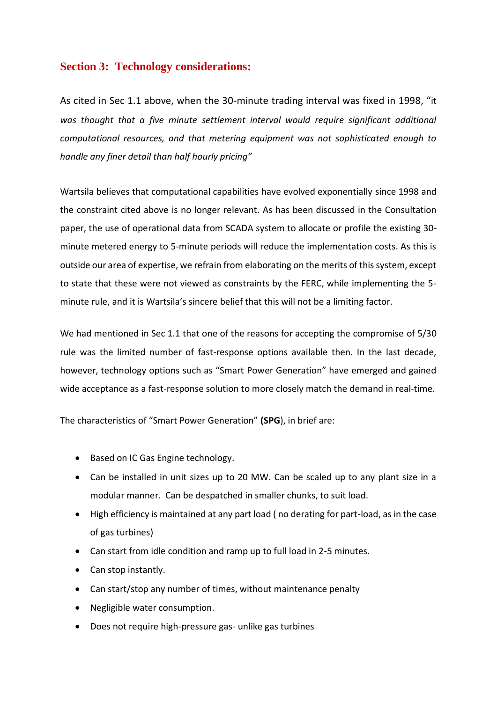# **Section 3: Technology considerations:**

As cited in Sec 1.1 above, when the 30-minute trading interval was fixed in 1998, "it *was thought that a five minute settlement interval would require significant additional computational resources, and that metering equipment was not sophisticated enough to handle any finer detail than half hourly pricing"* 

Wartsila believes that computational capabilities have evolved exponentially since 1998 and the constraint cited above is no longer relevant. As has been discussed in the Consultation paper, the use of operational data from SCADA system to allocate or profile the existing 30 minute metered energy to 5-minute periods will reduce the implementation costs. As this is outside our area of expertise, we refrain from elaborating on the merits of this system, except to state that these were not viewed as constraints by the FERC, while implementing the 5 minute rule, and it is Wartsila's sincere belief that this will not be a limiting factor.

We had mentioned in Sec 1.1 that one of the reasons for accepting the compromise of 5/30 rule was the limited number of fast-response options available then. In the last decade, however, technology options such as "Smart Power Generation" have emerged and gained wide acceptance as a fast-response solution to more closely match the demand in real-time.

The characteristics of "Smart Power Generation" **(SPG**), in brief are:

- Based on IC Gas Engine technology.
- Can be installed in unit sizes up to 20 MW. Can be scaled up to any plant size in a modular manner. Can be despatched in smaller chunks, to suit load.
- High efficiency is maintained at any part load ( no derating for part-load, as in the case of gas turbines)
- Can start from idle condition and ramp up to full load in 2-5 minutes.
- Can stop instantly.
- Can start/stop any number of times, without maintenance penalty
- Negligible water consumption.
- Does not require high-pressure gas- unlike gas turbines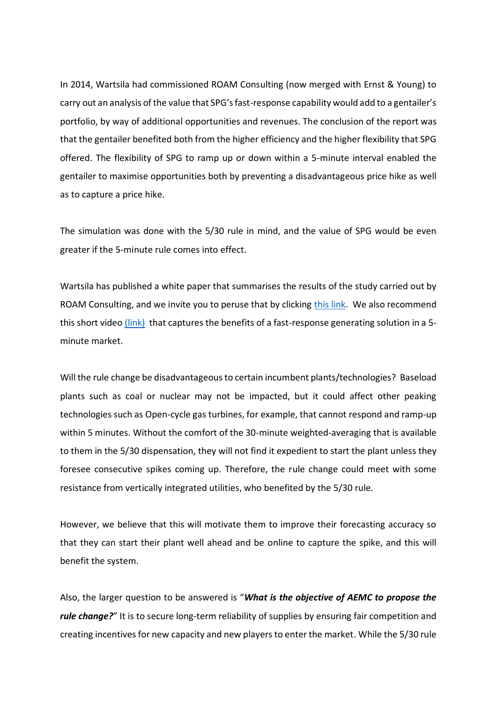In 2014, Wartsila had commissioned ROAM Consulting (now merged with Ernst & Young) to carry out an analysis of the value that SPG's fast-response capability would add to a gentailer's portfolio, by way of additional opportunities and revenues. The conclusion of the report was that the gentailer benefited both from the higher efficiency and the higher flexibility that SPG offered. The flexibility of SPG to ramp up or down within a 5-minute interval enabled the gentailer to maximise opportunities both by preventing a disadvantageous price hike as well as to capture a price hike.

The simulation was done with the 5/30 rule in mind, and the value of SPG would be even greater if the 5-minute rule comes into effect.

Wartsila has published a white paper that summarises the results of the study carried out by ROAM Consulting, and we invite you to peruse that by clicking [this link.](http://www.wartsila.com/docs/default-source/smartpowergeneration/content-center/value-of-smart-power-generation-for-utilities-in-australia.pdf) We also recommend this short video [\(link\)](https://www.youtube.com/watch?v=y6kULTaDjws&app=desktop) that captures the benefits of a fast-response generating solution in a 5minute market.

Will the rule change be disadvantageous to certain incumbent plants/technologies? Baseload plants such as coal or nuclear may not be impacted, but it could affect other peaking technologies such as Open-cycle gas turbines, for example, that cannot respond and ramp-up within 5 minutes. Without the comfort of the 30-minute weighted-averaging that is available to them in the 5/30 dispensation, they will not find it expedient to start the plant unless they foresee consecutive spikes coming up. Therefore, the rule change could meet with some resistance from vertically integrated utilities, who benefited by the 5/30 rule.

However, we believe that this will motivate them to improve their forecasting accuracy so that they can start their plant well ahead and be online to capture the spike, and this will benefit the system.

Also, the larger question to be answered is "*What is the objective of AEMC to propose the rule change?"* It is to secure long-term reliability of supplies by ensuring fair competition and creating incentives for new capacity and new players to enter the market. While the 5/30 rule